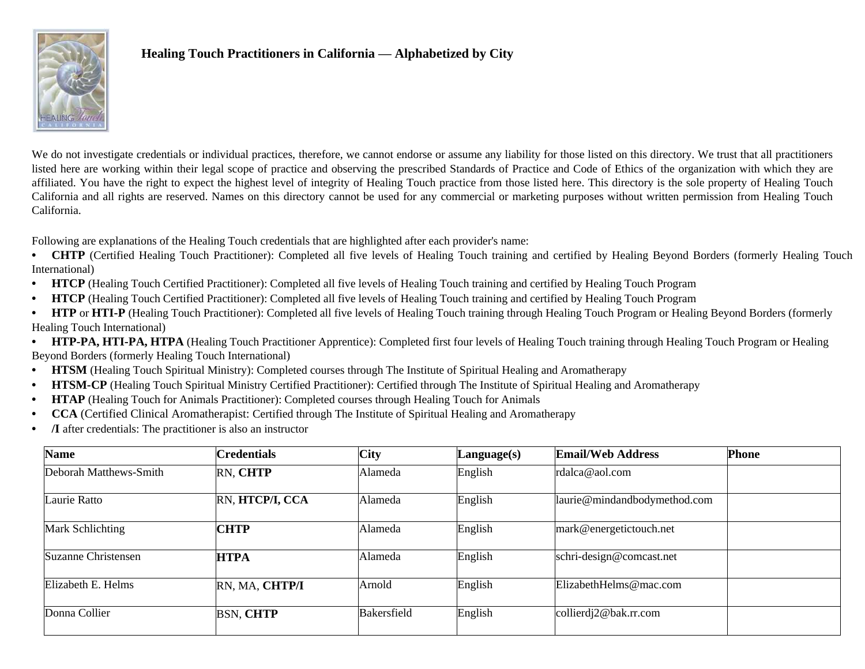

## **Healing Touch Practitioners in California — Alphabetized by City**

We do not investigate credentials or individual practices, therefore, we cannot endorse or assume any liability for those listed on this directory. We trust that all practitioners listed here are working within their legal scope of practice and observing the prescribed Standards of Practice and Code of Ethics of the organization with which they are affiliated. You have the right to expect the highest level of integrity of Healing Touch practice from those listed here. This directory is the sole property of Healing Touch California and all rights are reserved. Names on this directory cannot be used for any commercial or marketing purposes without written permission from Healing Touch California.

Following are explanations of the Healing Touch credentials that are highlighted after each provider's name:

- **CHTP** (Certified Healing Touch Practitioner): Completed all five levels of Healing Touch training and certified by Healing Beyond Borders (formerly Healing Touch International)
- **• HTCP** (Healing Touch Certified Practitioner): Completed all five levels of Healing Touch training and certified by Healing Touch Program
- **• HTCP** (Healing Touch Certified Practitioner): Completed all five levels of Healing Touch training and certified by Healing Touch Program
- **• HTP** or **HTI-P** (Healing Touch Practitioner): Completed all five levels of Healing Touch training through Healing Touch Program or Healing Beyond Borders (formerly Healing Touch International)
- **HTP-PA, HTI-PA, HTPA** (Healing Touch Practitioner Apprentice): Completed first four levels of Healing Touch training through Healing Touch Program or Healing Beyond Borders (formerly Healing Touch International)
- **• HTSM** (Healing Touch Spiritual Ministry): Completed courses through The Institute of Spiritual Healing and Aromatherapy
- **• HTSM-CP** (Healing Touch Spiritual Ministry Certified Practitioner): Certified through The Institute of Spiritual Healing and Aromatherapy
- **• HTAP** (Healing Touch for Animals Practitioner): Completed courses through Healing Touch for Animals
- **• CCA** (Certified Clinical Aromatherapist: Certified through The Institute of Spiritual Healing and Aromatherapy
- **• /I** after credentials: The practitioner is also an instructor

| <b>Name</b>            | <b>Credentials</b> | <b>City</b>        | Language(s) | <b>Email/Web Address</b>     | <b>Phone</b> |
|------------------------|--------------------|--------------------|-------------|------------------------------|--------------|
| Deborah Matthews-Smith | RN, CHTP           | Alameda            | English     | rdalca@aol.com               |              |
| Laurie Ratto           | RN, HTCP/I, CCA    | Alameda            | English     | laurie@mindandbodymethod.com |              |
| Mark Schlichting       | <b>CHTP</b>        | Alameda            | English     | mark@energetictouch.net      |              |
| Suzanne Christensen    | <b>HTPA</b>        | Alameda            | English     | schri-design@comcast.net     |              |
| Elizabeth E. Helms     | RN, MA, CHTP/I     | Arnold             | English     | ElizabethHelms@mac.com       |              |
| Donna Collier          | <b>BSN, CHTP</b>   | <b>Bakersfield</b> | English     | collierdj2@bak.rr.com        |              |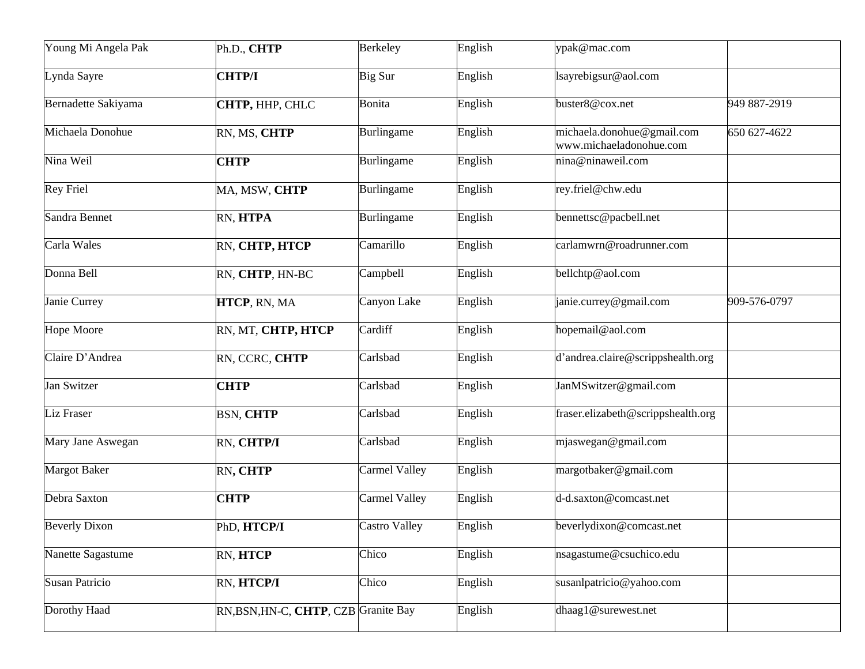| Young Mi Angela Pak   | Ph.D., CHTP                          | <b>Berkeley</b> | English | ypak@mac.com                                          |              |
|-----------------------|--------------------------------------|-----------------|---------|-------------------------------------------------------|--------------|
| Lynda Sayre           | <b>CHTP/I</b>                        | Big Sur         | English | lsayrebigsur@aol.com                                  |              |
| Bernadette Sakiyama   | CHTP, HHP, CHLC                      | <b>Bonita</b>   | English | buster8@cox.net                                       | 949 887-2919 |
| Michaela Donohue      | RN, MS, CHTP                         | Burlingame      | English | michaela.donohue@gmail.com<br>www.michaeladonohue.com | 650 627-4622 |
| Nina Weil             | <b>CHTP</b>                          | Burlingame      | English | nina@ninaweil.com                                     |              |
| <b>Rey Friel</b>      | MA, MSW, CHTP                        | Burlingame      | English | rey.friel@chw.edu                                     |              |
| Sandra Bennet         | RN, HTPA                             | Burlingame      | English | bennettsc@pacbell.net                                 |              |
| Carla Wales           | RN, CHTP, HTCP                       | Camarillo       | English | carlamwrn@roadrunner.com                              |              |
| Donna Bell            | RN, CHTP, HN-BC                      | Campbell        | English | bellchtp@aol.com                                      |              |
| Janie Currey          | HTCP, RN, MA                         | Canyon Lake     | English | janie.currey@gmail.com                                | 909-576-0797 |
| <b>Hope Moore</b>     | RN, MT, CHTP, HTCP                   | Cardiff         | English | hopemail@aol.com                                      |              |
| Claire D'Andrea       | RN, CCRC, CHTP                       | Carlsbad        | English | d'andrea.claire@scrippshealth.org                     |              |
| Jan Switzer           | <b>CHTP</b>                          | Carlsbad        | English | JanMSwitzer@gmail.com                                 |              |
| <b>Liz Fraser</b>     | <b>BSN, CHTP</b>                     | Carlsbad        | English | fraser.elizabeth@scrippshealth.org                    |              |
| Mary Jane Aswegan     | RN, CHTP/I                           | Carlsbad        | English | mjaswegan@gmail.com                                   |              |
| <b>Margot Baker</b>   | RN, CHTP                             | Carmel Valley   | English | margotbaker@gmail.com                                 |              |
| Debra Saxton          | <b>CHTP</b>                          | Carmel Valley   | English | d-d.saxton@comcast.net                                |              |
| <b>Beverly Dixon</b>  | PhD, HTCP/I                          | Castro Valley   | English | beverlydixon@comcast.net                              |              |
| Nanette Sagastume     | RN, HTCP                             | Chico           | English | nsagastume@csuchico.edu                               |              |
| <b>Susan Patricio</b> | RN, HTCP/I                           | Chico           | English | susanlpatricio@yahoo.com                              |              |
| Dorothy Haad          | RN, BSN, HN-C, CHTP, CZB Granite Bay |                 | English | dhaag1@surewest.net                                   |              |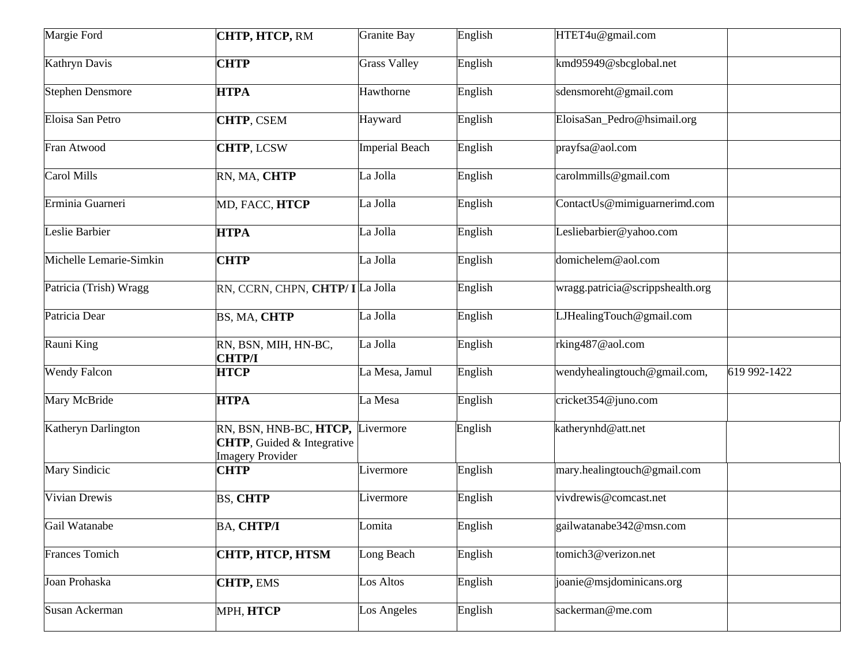| Margie Ford             | CHTP, HTCP, RM                                                                                    | <b>Granite Bay</b>    | English | HTET4u@gmail.com                 |              |
|-------------------------|---------------------------------------------------------------------------------------------------|-----------------------|---------|----------------------------------|--------------|
| Kathryn Davis           | <b>CHTP</b>                                                                                       | <b>Grass Valley</b>   | English | kmd95949@sbcglobal.net           |              |
| <b>Stephen Densmore</b> | <b>HTPA</b>                                                                                       | Hawthorne             | English | sdensmoreht@gmail.com            |              |
| Eloisa San Petro        | <b>CHTP, CSEM</b>                                                                                 | Hayward               | English | EloisaSan_Pedro@hsimail.org      |              |
| Fran Atwood             | <b>CHTP, LCSW</b>                                                                                 | <b>Imperial Beach</b> | English | prayfsa@aol.com                  |              |
| Carol Mills             | RN, MA, CHTP                                                                                      | La Jolla              | English | carolmmills@gmail.com            |              |
| Erminia Guarneri        | MD, FACC, HTCP                                                                                    | La Jolla              | English | ContactUs@mimiguarnerimd.com     |              |
| Leslie Barbier          | <b>HTPA</b>                                                                                       | La Jolla              | English | Lesliebarbier@yahoo.com          |              |
| Michelle Lemarie-Simkin | <b>CHTP</b>                                                                                       | La Jolla              | English | domichelem@aol.com               |              |
| Patricia (Trish) Wragg  | RN, CCRN, CHPN, CHTP/ I La Jolla                                                                  |                       | English | wragg.patricia@scrippshealth.org |              |
| Patricia Dear           | BS, MA, CHTP                                                                                      | La Jolla              | English | LJHealingTouch@gmail.com         |              |
| Rauni King              | RN, BSN, MIH, HN-BC,<br><b>CHTP/I</b>                                                             | La Jolla              | English | rking487@aol.com                 |              |
| <b>Wendy Falcon</b>     | <b>HTCP</b>                                                                                       | La Mesa, Jamul        | English | wendyhealingtouch@gmail.com,     | 619 992-1422 |
| Mary McBride            | <b>HTPA</b>                                                                                       | La Mesa               | English | cricket354@juno.com              |              |
| Katheryn Darlington     | RN, BSN, HNB-BC, HTCP, Livermore<br><b>CHTP</b> , Guided & Integrative<br><b>Imagery Provider</b> |                       | English | katherynhd@att.net               |              |
| <b>Mary Sindicic</b>    | <b>CHTP</b>                                                                                       | Livermore             | English | mary.healingtouch@gmail.com      |              |
| Vivian Drewis           | <b>BS, CHTP</b>                                                                                   | ivermore              | English | vivdrewis@comcast.net            |              |
| Gail Watanabe           | <b>BA, CHTP/I</b>                                                                                 | Lomita                | English | gailwatanabe342@msn.com          |              |
| <b>Frances Tomich</b>   | CHTP, HTCP, HTSM                                                                                  | Long Beach            | English | tomich3@verizon.net              |              |
| Joan Prohaska           | <b>CHTP, EMS</b>                                                                                  | Los Altos             | English | joanie@msjdominicans.org         |              |
| Susan Ackerman          | МРН, НТСР                                                                                         | Los Angeles           | English | sackerman@me.com                 |              |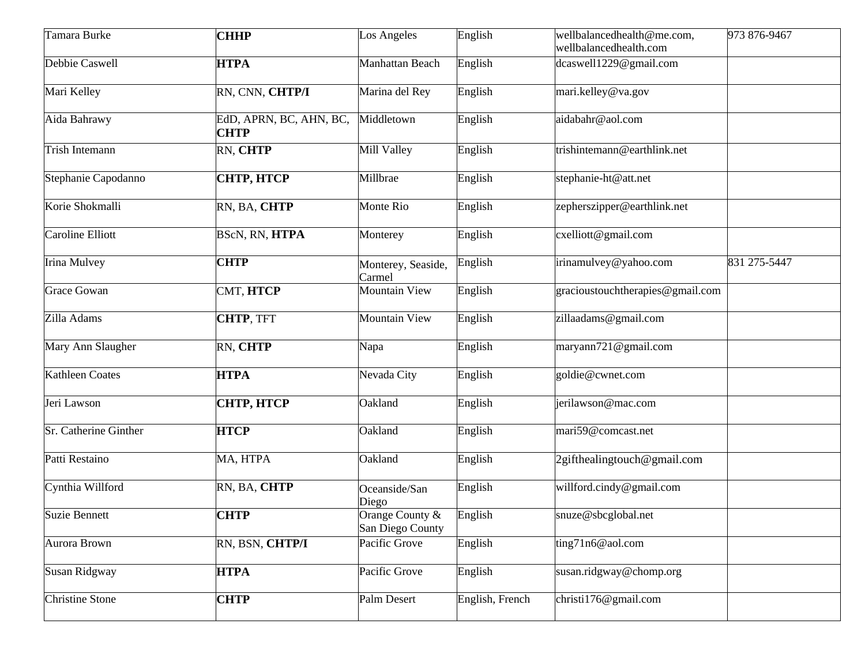| Tamara Burke           | <b>CHHP</b>                            | Los Angeles                         | English         | wellbalancedhealth@me.com,<br>wellbalancedhealth.com | 973 876-9467 |
|------------------------|----------------------------------------|-------------------------------------|-----------------|------------------------------------------------------|--------------|
| Debbie Caswell         | <b>HTPA</b>                            | Manhattan Beach                     | English         | dcaswell1229@gmail.com                               |              |
| Mari Kelley            | RN, CNN, CHTP/I                        | Marina del Rey                      | English         | mari.kelley@va.gov                                   |              |
| Aida Bahrawy           | EdD, APRN, BC, AHN, BC,<br><b>CHTP</b> | Middletown                          | English         | aidabahr@aol.com                                     |              |
| Trish Intemann         | RN, CHTP                               | Mill Valley                         | English         | trishintemann@earthlink.net                          |              |
| Stephanie Capodanno    | СНТР, НТСР                             | Millbrae                            | English         | stephanie-ht@att.net                                 |              |
| Korie Shokmalli        | RN, BA, CHTP                           | Monte Rio                           | English         | zepherszipper@earthlink.net                          |              |
| Caroline Elliott       | BScN, RN, HTPA                         | Monterey                            | English         | cxelliott@gmail.com                                  |              |
| <b>Irina Mulvey</b>    | <b>CHTP</b>                            | Monterey, Seaside,<br>Carmel        | English         | irinamulvey@yahoo.com                                | 831 275-5447 |
| <b>Grace Gowan</b>     | CMT, HTCP                              | <b>Mountain View</b>                | English         | gracioustouchtherapies@gmail.com                     |              |
| Zilla Adams            | <b>CHTP, TFT</b>                       | <b>Mountain View</b>                | English         | zillaadams@gmail.com                                 |              |
| Mary Ann Slaugher      | RN, CHTP                               | Napa                                | English         | maryann721@gmail.com                                 |              |
| <b>Kathleen Coates</b> | <b>HTPA</b>                            | Nevada City                         | English         | goldie@cwnet.com                                     |              |
| Jeri Lawson            | СНТР, НТСР                             | Oakland                             | English         | erilawson@mac.com                                    |              |
| Sr. Catherine Ginther  | <b>HTCP</b>                            | Oakland                             | English         | mari59@comcast.net                                   |              |
| Patti Restaino         | MA, HTPA                               | Oakland                             | English         | 2gifthealingtouch@gmail.com                          |              |
| Cynthia Willford       | RN, BA, CHTP                           | Oceanside/San<br>Diego              | English         | willford.cindy@gmail.com                             |              |
| <b>Suzie Bennett</b>   | <b>CHTP</b>                            | Orange County &<br>San Diego County | English         | snuze@sbcglobal.net                                  |              |
| Aurora Brown           | RN, BSN, CHTP/I                        | Pacific Grove                       | English         | ting71n6@aol.com                                     |              |
| Susan Ridgway          | <b>HTPA</b>                            | Pacific Grove                       | English         | susan.ridgway@chomp.org                              |              |
| <b>Christine Stone</b> | <b>CHTP</b>                            | Palm Desert                         | English, French | christi176@gmail.com                                 |              |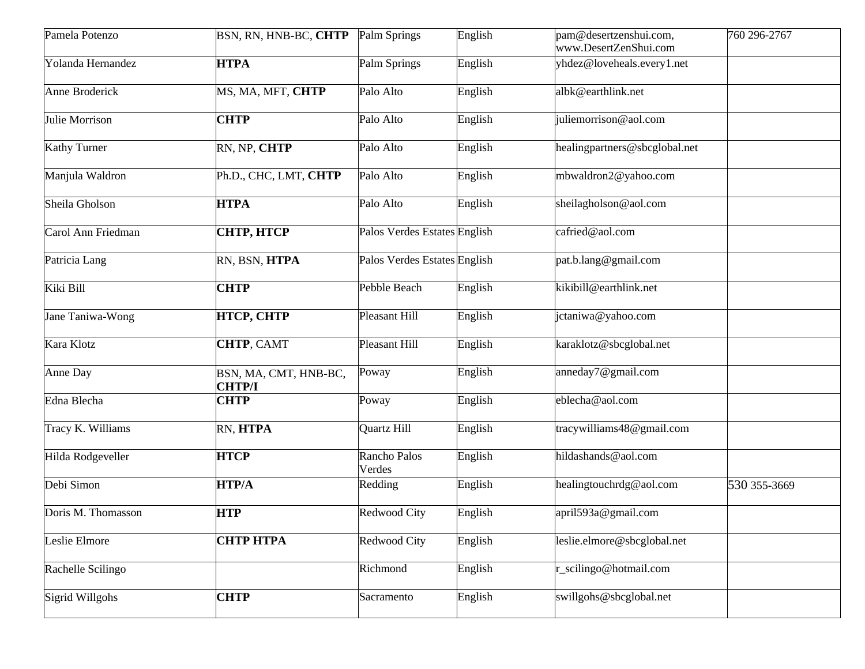| Pamela Potenzo      | BSN, RN, HNB-BC, CHTP                  | Palm Springs                 | English | pam@desertzenshui.com,<br>www.DesertZenShui.com | 760 296-2767 |
|---------------------|----------------------------------------|------------------------------|---------|-------------------------------------------------|--------------|
| Yolanda Hernandez   | <b>HTPA</b>                            | Palm Springs                 | English | yhdez@loveheals.every1.net                      |              |
| Anne Broderick      | MS, MA, MFT, CHTP                      | Palo Alto                    | English | albk@earthlink.net                              |              |
| Julie Morrison      | <b>CHTP</b>                            | Palo Alto                    | English | juliemorrison@aol.com                           |              |
| <b>Kathy Turner</b> | RN, NP, CHTP                           | Palo Alto                    | English | healingpartners@sbcglobal.net                   |              |
| Manjula Waldron     | Ph.D., CHC, LMT, CHTP                  | Palo Alto                    | English | mbwaldron2@yahoo.com                            |              |
| Sheila Gholson      | <b>HTPA</b>                            | Palo Alto                    | English | sheilagholson@aol.com                           |              |
| Carol Ann Friedman  | <b>CHTP, HTCP</b>                      | Palos Verdes Estates English |         | cafried@aol.com                                 |              |
| Patricia Lang       | RN, BSN, HTPA                          | Palos Verdes Estates English |         | pat.b.lang@gmail.com                            |              |
| Kiki Bill           | <b>CHTP</b>                            | Pebble Beach                 | English | kikibill@earthlink.net                          |              |
| Jane Taniwa-Wong    | <b>HTCP, CHTP</b>                      | Pleasant Hill                | English | jctaniwa@yahoo.com                              |              |
| Kara Klotz          | <b>CHTP, CAMT</b>                      | Pleasant Hill                | English | karaklotz@sbcglobal.net                         |              |
| Anne Day            | BSN, MA, CMT, HNB-BC,<br><b>CHTP/I</b> | Poway                        | English | anneday7@gmail.com                              |              |
| Edna Blecha         | <b>CHTP</b>                            | Poway                        | English | eblecha@aol.com                                 |              |
| Tracy K. Williams   | RN, HTPA                               | Quartz Hill                  | English | tracywilliams48@gmail.com                       |              |
| Hilda Rodgeveller   | <b>HTCP</b>                            | Rancho Palos<br>Verdes       | English | hildashands@aol.com                             |              |
| Debi Simon          | <b>HTP/A</b>                           | Redding                      | English | healingtouchrdg@aol.com                         | 530 355-3669 |
| Doris M. Thomasson  | <b>HTP</b>                             | <b>Redwood City</b>          | English | april593a@gmail.com                             |              |
| Leslie Elmore       | СНТР НТРА                              | <b>Redwood City</b>          | English | leslie.elmore@sbcglobal.net                     |              |
| Rachelle Scilingo   |                                        | Richmond                     | English | r_scilingo@hotmail.com                          |              |
| Sigrid Willgohs     | <b>CHTP</b>                            | Sacramento                   | English | swillgohs@sbcglobal.net                         |              |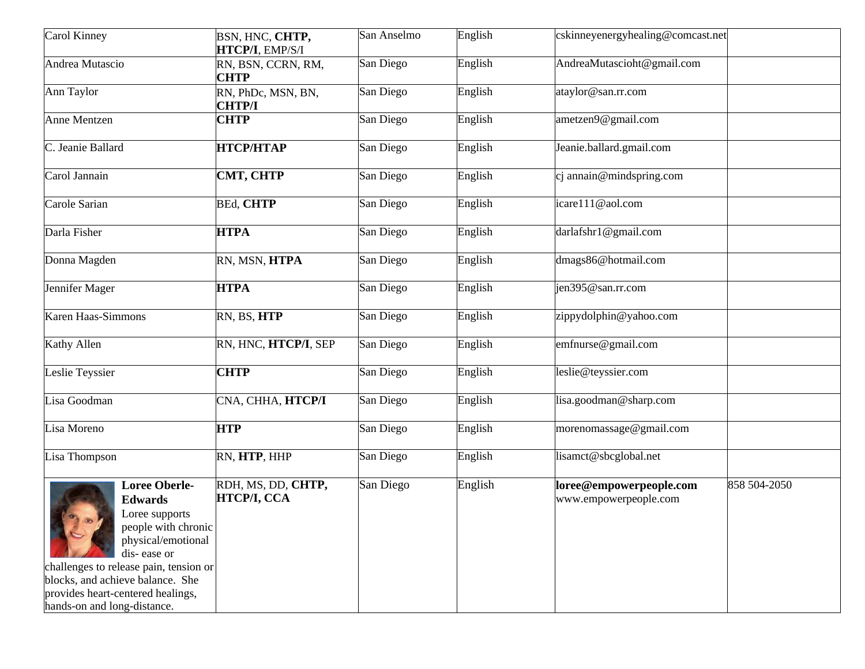| Carol Kinney                                                                                                                                                                                                                                                           | BSN, HNC, CHTP,<br>HTCP/I, EMP/S/I  | San Anselmo | English | cskinneyenergyhealing@comcast.net                |              |
|------------------------------------------------------------------------------------------------------------------------------------------------------------------------------------------------------------------------------------------------------------------------|-------------------------------------|-------------|---------|--------------------------------------------------|--------------|
| Andrea Mutascio                                                                                                                                                                                                                                                        | RN, BSN, CCRN, RM,<br><b>CHTP</b>   | San Diego   | English | AndreaMutascioht@gmail.com                       |              |
| Ann Taylor                                                                                                                                                                                                                                                             | RN, PhDc, MSN, BN,<br><b>CHTP/I</b> | San Diego   | English | ataylor@san.rr.com                               |              |
| <b>Anne Mentzen</b>                                                                                                                                                                                                                                                    | <b>CHTP</b>                         | San Diego   | English | ametzen9@gmail.com                               |              |
| C. Jeanie Ballard                                                                                                                                                                                                                                                      | <b>НТСР/НТАР</b>                    | San Diego   | English | Jeanie.ballard.gmail.com                         |              |
| Carol Jannain                                                                                                                                                                                                                                                          | CMT, CHTP                           | San Diego   | English | cj annain@mindspring.com                         |              |
| Carole Sarian                                                                                                                                                                                                                                                          | <b>BEd, CHTP</b>                    | San Diego   | English | icare111@aol.com                                 |              |
| Darla Fisher                                                                                                                                                                                                                                                           | <b>HTPA</b>                         | San Diego   | English | darlafshr1@gmail.com                             |              |
| Donna Magden                                                                                                                                                                                                                                                           | RN, MSN, HTPA                       | San Diego   | English | dmags86@hotmail.com                              |              |
| Jennifer Mager                                                                                                                                                                                                                                                         | <b>HTPA</b>                         | San Diego   | English | ien395@san.rr.com                                |              |
| Karen Haas-Simmons                                                                                                                                                                                                                                                     | RN, BS, HTP                         | San Diego   | English | zippydolphin@yahoo.com                           |              |
| Kathy Allen                                                                                                                                                                                                                                                            | RN, HNC, HTCP/I, SEP                | San Diego   | English | emfnurse@gmail.com                               |              |
| Leslie Teyssier                                                                                                                                                                                                                                                        | <b>CHTP</b>                         | San Diego   | English | leslie@teyssier.com                              |              |
| Lisa Goodman                                                                                                                                                                                                                                                           | CNA, CHHA, HTCP/I                   | San Diego   | English | lisa.goodman@sharp.com                           |              |
| Lisa Moreno                                                                                                                                                                                                                                                            | <b>HTP</b>                          | San Diego   | English | morenomassage@gmail.com                          |              |
| Lisa Thompson                                                                                                                                                                                                                                                          | RN, HTP, HHP                        | San Diego   | English | lisamct@sbcglobal.net                            |              |
| <b>Loree Oberle-</b><br><b>Edwards</b><br>Loree supports<br>people with chronic<br>physical/emotional<br>dis-ease or<br>challenges to release pain, tension or<br>blocks, and achieve balance. She<br>provides heart-centered healings,<br>hands-on and long-distance. | RDH, MS, DD, CHTP,<br>HTCP/I, CCA   | San Diego   | English | loree@empowerpeople.com<br>www.empowerpeople.com | 858 504-2050 |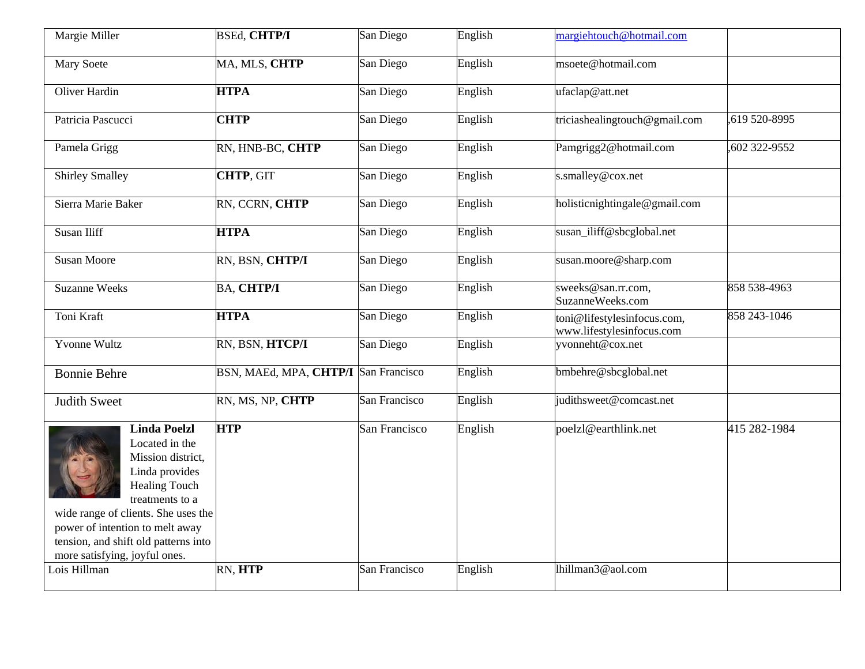| Margie Miller                                                                                                                                                                                                                                                              | <b>BSEd, CHTP/I</b>                  | San Diego     | English | margiehtouch@hotmail.com                                 |               |
|----------------------------------------------------------------------------------------------------------------------------------------------------------------------------------------------------------------------------------------------------------------------------|--------------------------------------|---------------|---------|----------------------------------------------------------|---------------|
| <b>Mary Soete</b>                                                                                                                                                                                                                                                          | MA, MLS, CHTP                        | San Diego     | English | msoete@hotmail.com                                       |               |
| Oliver Hardin                                                                                                                                                                                                                                                              | <b>HTPA</b>                          | San Diego     | English | ufaclap@att.net                                          |               |
| Patricia Pascucci                                                                                                                                                                                                                                                          | <b>CHTP</b>                          | San Diego     | English | triciashealingtouch@gmail.com                            | ,619 520-8995 |
| Pamela Grigg                                                                                                                                                                                                                                                               | RN, HNB-BC, CHTP                     | San Diego     | English | Pamgrigg2@hotmail.com                                    | 602 322-9552  |
| <b>Shirley Smalley</b>                                                                                                                                                                                                                                                     | CHTP, GIT                            | San Diego     | English | s.smalley@cox.net                                        |               |
| Sierra Marie Baker                                                                                                                                                                                                                                                         | RN, CCRN, CHTP                       | San Diego     | English | holisticnightingale@gmail.com                            |               |
| Susan Iliff                                                                                                                                                                                                                                                                | <b>HTPA</b>                          | San Diego     | English | susan_iliff@sbcglobal.net                                |               |
| <b>Susan Moore</b>                                                                                                                                                                                                                                                         | RN, BSN, CHTP/I                      | San Diego     | English | susan.moore@sharp.com                                    |               |
| <b>Suzanne Weeks</b>                                                                                                                                                                                                                                                       | <b>BA, CHTP/I</b>                    | San Diego     | English | sweeks@san.rr.com,<br>SuzanneWeeks.com                   | 858 538-4963  |
| Toni Kraft                                                                                                                                                                                                                                                                 | <b>HTPA</b>                          | San Diego     | English | toni@lifestylesinfocus.com,<br>www.lifestylesinfocus.com | 858 243-1046  |
| <b>Yvonne Wultz</b>                                                                                                                                                                                                                                                        | RN, BSN, HTCP/I                      | San Diego     | English | yvonneht@cox.net                                         |               |
| <b>Bonnie Behre</b>                                                                                                                                                                                                                                                        | BSN, MAEd, MPA, CHTP/I San Francisco |               | English | bmbehre@sbcglobal.net                                    |               |
| <b>Judith Sweet</b>                                                                                                                                                                                                                                                        | RN, MS, NP, CHTP                     | San Francisco | English | judithsweet@comcast.net                                  |               |
| <b>Linda Poelzl</b><br>Located in the<br>Mission district,<br>Linda provides<br><b>Healing Touch</b><br>treatments to a<br>wide range of clients. She uses the<br>power of intention to melt away<br>tension, and shift old patterns into<br>more satisfying, joyful ones. | <b>HTP</b>                           | San Francisco | English | poelzl@earthlink.net                                     | 415 282-1984  |
| Lois Hillman                                                                                                                                                                                                                                                               | RN, HTP                              | San Francisco | English | lhillman3@aol.com                                        |               |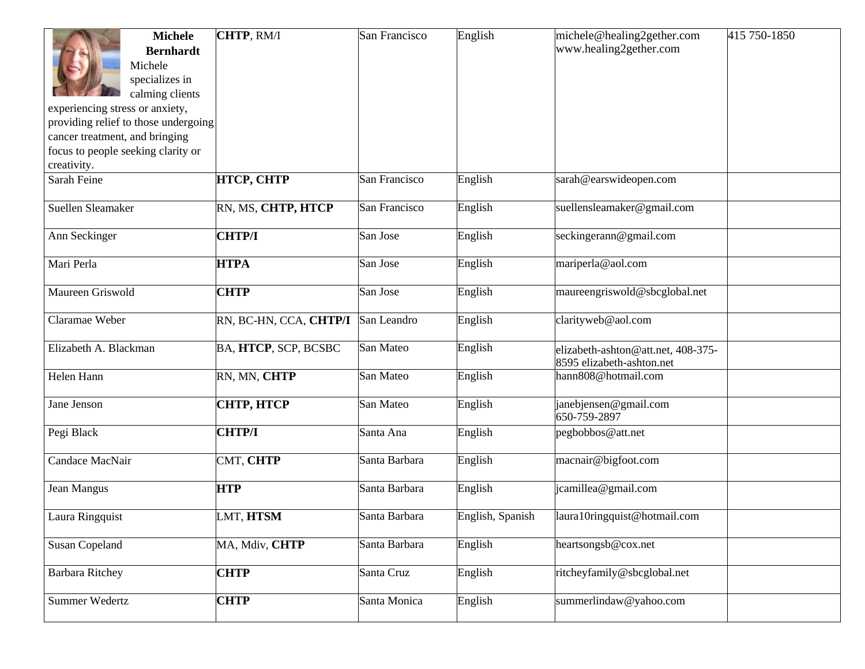| <b>Michele</b><br><b>Bernhardt</b>                                   | CHTP, RM/I             | San Francisco | English          | michele@healing2gether.com<br>www.healing2gether.com            | 415 750-1850 |
|----------------------------------------------------------------------|------------------------|---------------|------------------|-----------------------------------------------------------------|--------------|
| Michele                                                              |                        |               |                  |                                                                 |              |
| specializes in                                                       |                        |               |                  |                                                                 |              |
| calming clients                                                      |                        |               |                  |                                                                 |              |
| experiencing stress or anxiety,                                      |                        |               |                  |                                                                 |              |
| providing relief to those undergoing                                 |                        |               |                  |                                                                 |              |
| cancer treatment, and bringing<br>focus to people seeking clarity or |                        |               |                  |                                                                 |              |
| creativity.                                                          |                        |               |                  |                                                                 |              |
| Sarah Feine                                                          | <b>HTCP, CHTP</b>      | San Francisco | English          | sarah@earswideopen.com                                          |              |
|                                                                      |                        |               |                  |                                                                 |              |
| Suellen Sleamaker                                                    | RN, MS, CHTP, HTCP     | San Francisco | English          | suellensleamaker@gmail.com                                      |              |
| Ann Seckinger                                                        | <b>CHTP/I</b>          | San Jose      | English          | seckingerann@gmail.com                                          |              |
| Mari Perla                                                           | <b>HTPA</b>            | San Jose      | English          | mariperla@aol.com                                               |              |
| Maureen Griswold                                                     | <b>CHTP</b>            | San Jose      | English          | maureengriswold@sbcglobal.net                                   |              |
| Claramae Weber                                                       | RN, BC-HN, CCA, CHTP/I | San Leandro   | English          | clarityweb@aol.com                                              |              |
| Elizabeth A. Blackman                                                | BA, HTCP, SCP, BCSBC   | San Mateo     | English          | elizabeth-ashton@att.net, 408-375-<br>8595 elizabeth-ashton.net |              |
| Helen Hann                                                           | RN, MN, CHTP           | San Mateo     | English          | hann808@hotmail.com                                             |              |
| Jane Jenson                                                          | СНТР, НТСР             | San Mateo     | English          | janebjensen@gmail.com<br>650-759-2897                           |              |
| Pegi Black                                                           | <b>CHTP/I</b>          | Santa Ana     | English          | pegbobbos@att.net                                               |              |
| Candace MacNair                                                      | CMT, CHTP              | Santa Barbara | English          | macnair@bigfoot.com                                             |              |
| Jean Mangus                                                          | <b>HTP</b>             | Santa Barbara | English          | jcamillea@gmail.com                                             |              |
| Laura Ringquist                                                      | LMT, HTSM              | Santa Barbara | English, Spanish | laura10ringquist@hotmail.com                                    |              |
| <b>Susan Copeland</b>                                                | MA, Mdiv, CHTP         | Santa Barbara | English          | heartsongsb@cox.net                                             |              |
| <b>Barbara Ritchey</b>                                               | <b>CHTP</b>            | Santa Cruz    | English          | ritcheyfamily@sbcglobal.net                                     |              |
| Summer Wedertz                                                       | <b>CHTP</b>            | Santa Monica  | English          | summerlindaw@yahoo.com                                          |              |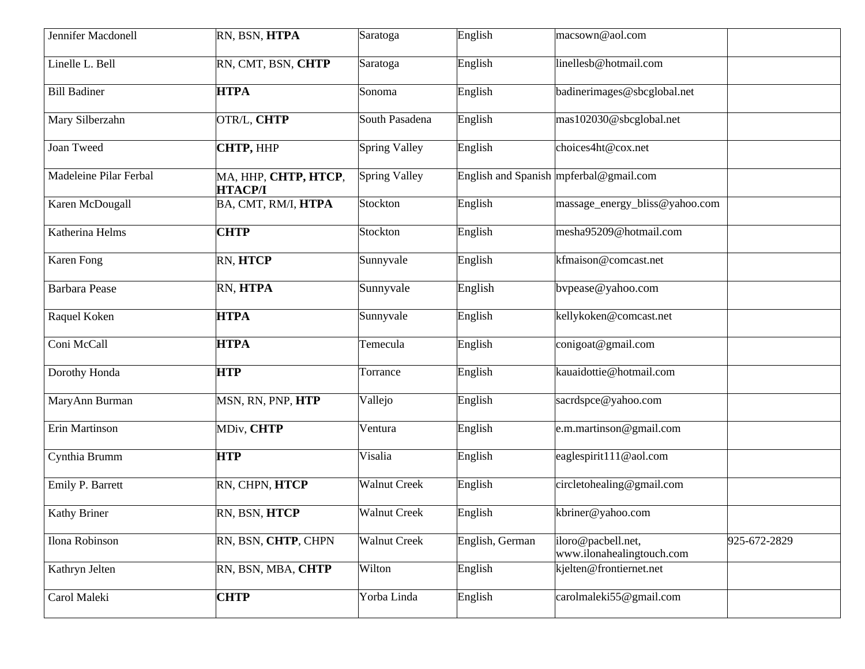| Jennifer Macdonell     | RN, BSN, HTPA                          | Saratoga             | English         | macsown@aol.com                                 |              |
|------------------------|----------------------------------------|----------------------|-----------------|-------------------------------------------------|--------------|
| Linelle L. Bell        | RN, CMT, BSN, CHTP                     | Saratoga             | English         | linellesb@hotmail.com                           |              |
| <b>Bill Badiner</b>    | <b>HTPA</b>                            | Sonoma               | English         | badinerimages@sbcglobal.net                     |              |
| Mary Silberzahn        | OTR/L, CHTP                            | South Pasadena       | English         | mas102030@sbcglobal.net                         |              |
| Joan Tweed             | <b>CHTP, HHP</b>                       | <b>Spring Valley</b> | English         | choices4ht@cox.net                              |              |
| Madeleine Pilar Ferbal | MA, HHP, CHTP, HTCP,<br><b>НТАСР/I</b> | <b>Spring Valley</b> |                 | English and Spanish mpferbal@gmail.com          |              |
| Karen McDougall        | BA, CMT, RM/I, HTPA                    | Stockton             | English         | massage_energy_bliss@yahoo.com                  |              |
| Katherina Helms        | <b>CHTP</b>                            | Stockton             | English         | mesha95209@hotmail.com                          |              |
| Karen Fong             | RN, HTCP                               | Sunnyvale            | English         | kfmaison@comcast.net                            |              |
| <b>Barbara</b> Pease   | RN, HTPA                               | Sunnyvale            | English         | bvpease@yahoo.com                               |              |
| Raquel Koken           | <b>HTPA</b>                            | Sunnyvale            | English         | kellykoken@comcast.net                          |              |
| Coni McCall            | <b>HTPA</b>                            | Temecula             | English         | conigoat@gmail.com                              |              |
| Dorothy Honda          | <b>HTP</b>                             | Torrance             | English         | kauaidottie@hotmail.com                         |              |
| MaryAnn Burman         | MSN, RN, PNP, HTP                      | Vallejo              | English         | sacrdspce@yahoo.com                             |              |
| Erin Martinson         | MDiv, CHTP                             | Ventura              | English         | e.m.martinson@gmail.com                         |              |
| Cynthia Brumm          | <b>HTP</b>                             | Visalia              | English         | eaglespirit111@aol.com                          |              |
| Emily P. Barrett       | RN, CHPN, HTCP                         | <b>Walnut Creek</b>  | English         | circletohealing@gmail.com                       |              |
| <b>Kathy Briner</b>    | RN, BSN, HTCP                          | <b>Walnut Creek</b>  | English         | kbriner@yahoo.com                               |              |
| Ilona Robinson         | RN, BSN, CHTP, CHPN                    | Walnut Creek         | English, German | iloro@pacbell.net,<br>www.ilonahealingtouch.com | 925-672-2829 |
| Kathryn Jelten         | RN, BSN, MBA, CHTP                     | Wilton               | English         | kjelten@frontiernet.net                         |              |
| Carol Maleki           | <b>CHTP</b>                            | Yorba Linda          | English         | carolmaleki55@gmail.com                         |              |